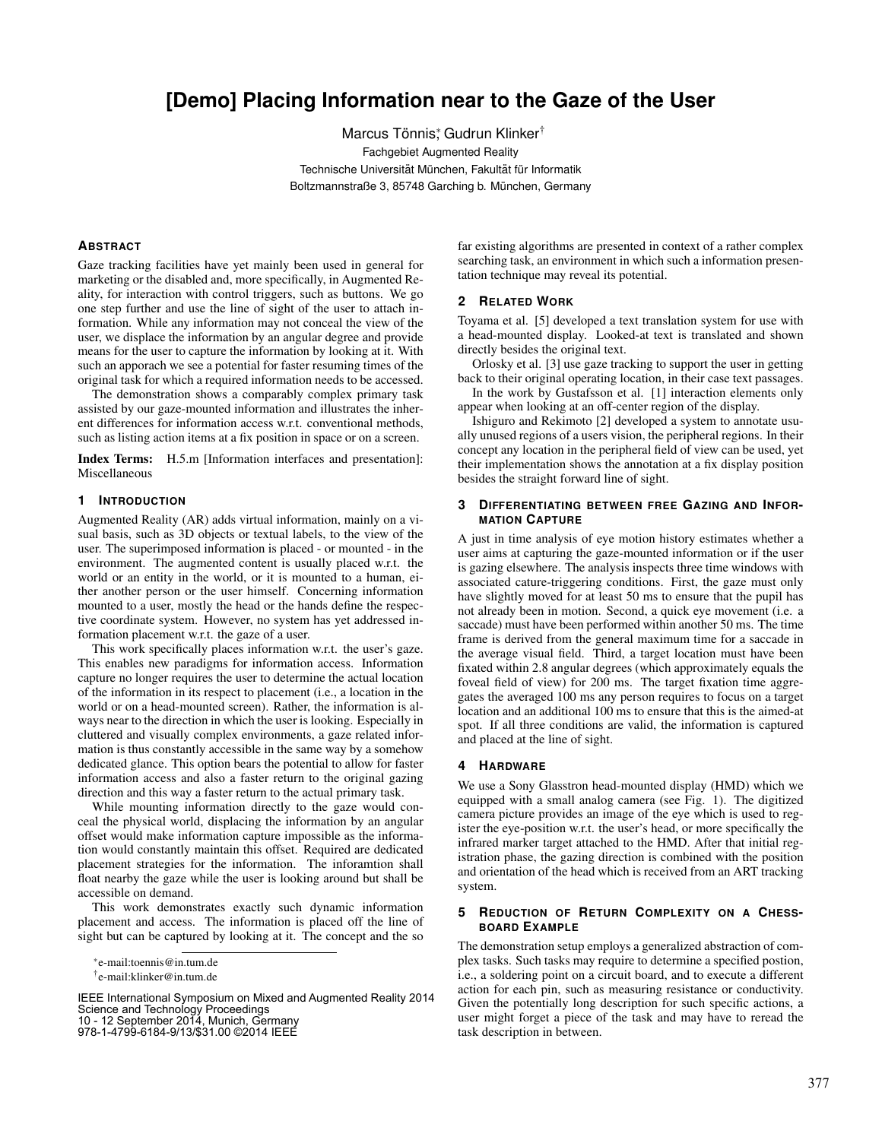# **[Demo] Placing Information near to the Gaze of the User**

Marcus Tönnis; Gudrun Klinker<sup>†</sup> Fachgebiet Augmented Reality Technische Universität München, Fakultät für Informatik Boltzmannstraße 3, 85748 Garching b. München, Germany

#### **ABSTRACT**

Gaze tracking facilities have yet mainly been used in general for marketing or the disabled and, more specifically, in Augmented Reality, for interaction with control triggers, such as buttons. We go one step further and use the line of sight of the user to attach information. While any information may not conceal the view of the user, we displace the information by an angular degree and provide means for the user to capture the information by looking at it. With such an apporach we see a potential for faster resuming times of the original task for which a required information needs to be accessed.

The demonstration shows a comparably complex primary task assisted by our gaze-mounted information and illustrates the inherent differences for information access w.r.t. conventional methods, such as listing action items at a fix position in space or on a screen.

Index Terms: H.5.m [Information interfaces and presentation]: Miscellaneous

#### **1 INTRODUCTION**

Augmented Reality (AR) adds virtual information, mainly on a visual basis, such as 3D objects or textual labels, to the view of the user. The superimposed information is placed - or mounted - in the environment. The augmented content is usually placed w.r.t. the world or an entity in the world, or it is mounted to a human, either another person or the user himself. Concerning information mounted to a user, mostly the head or the hands define the respective coordinate system. However, no system has yet addressed information placement w.r.t. the gaze of a user.

This work specifically places information w.r.t. the user's gaze. This enables new paradigms for information access. Information capture no longer requires the user to determine the actual location of the information in its respect to placement (i.e., a location in the world or on a head-mounted screen). Rather, the information is always near to the direction in which the user is looking. Especially in cluttered and visually complex environments, a gaze related information is thus constantly accessible in the same way by a somehow dedicated glance. This option bears the potential to allow for faster information access and also a faster return to the original gazing direction and this way a faster return to the actual primary task.

While mounting information directly to the gaze would conceal the physical world, displacing the information by an angular offset would make information capture impossible as the information would constantly maintain this offset. Required are dedicated placement strategies for the information. The inforamtion shall float nearby the gaze while the user is looking around but shall be accessible on demand.

This work demonstrates exactly such dynamic information placement and access. The information is placed off the line of sight but can be captured by looking at it. The concept and the so

IEEE International Symposium on Mixed and Augmented Reality 2014 Science and Technology Proceedings 10 - 12 September 2014, Munich, Germany

978-1-4799-6184-9/13/\$31.00 ©2014 IEEE

far existing algorithms are presented in context of a rather complex searching task, an environment in which such a information presentation technique may reveal its potential.

## **2 RELATED WORK**

Toyama et al. [5] developed a text translation system for use with a head-mounted display. Looked-at text is translated and shown directly besides the original text.

Orlosky et al. [3] use gaze tracking to support the user in getting back to their original operating location, in their case text passages.

In the work by Gustafsson et al. [1] interaction elements only appear when looking at an off-center region of the display.

Ishiguro and Rekimoto [2] developed a system to annotate usually unused regions of a users vision, the peripheral regions. In their concept any location in the peripheral field of view can be used, yet their implementation shows the annotation at a fix display position besides the straight forward line of sight.

#### **3 DIFFERENTIATING BETWEEN FREE GAZING AND INFOR-MATION CAPTURE**

A just in time analysis of eye motion history estimates whether a user aims at capturing the gaze-mounted information or if the user is gazing elsewhere. The analysis inspects three time windows with associated cature-triggering conditions. First, the gaze must only have slightly moved for at least 50 ms to ensure that the pupil has not already been in motion. Second, a quick eye movement (i.e. a saccade) must have been performed within another 50 ms. The time frame is derived from the general maximum time for a saccade in the average visual field. Third, a target location must have been fixated within 2.8 angular degrees (which approximately equals the foveal field of view) for 200 ms. The target fixation time aggregates the averaged 100 ms any person requires to focus on a target location and an additional 100 ms to ensure that this is the aimed-at spot. If all three conditions are valid, the information is captured and placed at the line of sight.

#### **4 HARDWARE**

We use a Sony Glasstron head-mounted display (HMD) which we equipped with a small analog camera (see Fig. 1). The digitized camera picture provides an image of the eye which is used to register the eye-position w.r.t. the user's head, or more specifically the infrared marker target attached to the HMD. After that initial registration phase, the gazing direction is combined with the position and orientation of the head which is received from an ART tracking system.

## **5 REDUCTION OF RETURN COMPLEXITY ON A CHESS-BOARD EXAMPLE**

The demonstration setup employs a generalized abstraction of complex tasks. Such tasks may require to determine a specified postion, i.e., a soldering point on a circuit board, and to execute a different action for each pin, such as measuring resistance or conductivity. Given the potentially long description for such specific actions, a user might forget a piece of the task and may have to reread the task description in between.

<sup>∗</sup> e-mail:toennis@in.tum.de

<sup>†</sup> e-mail:klinker@in.tum.de